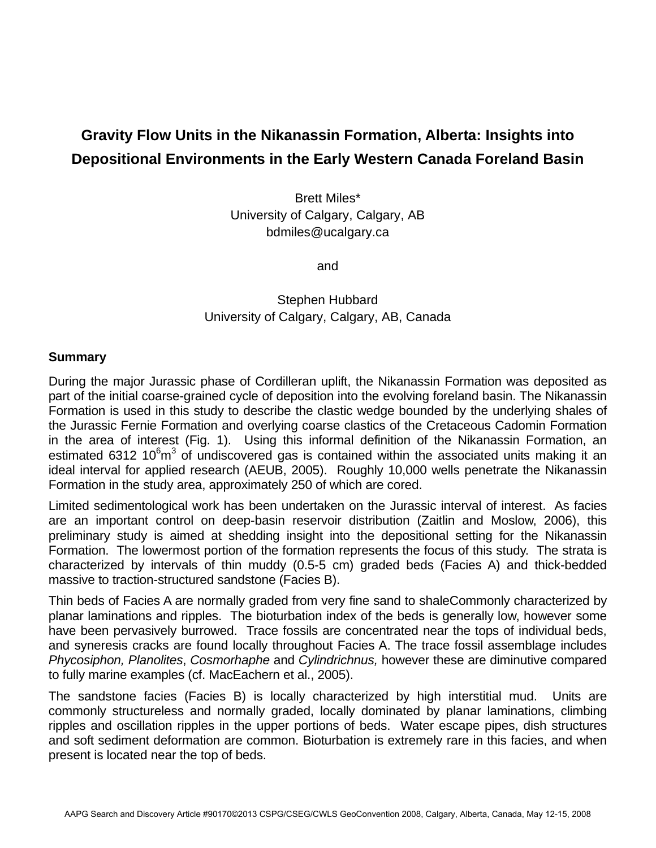## **Gravity Flow Units in the Nikanassin Formation, Alberta: Insights into Depositional Environments in the Early Western Canada Foreland Basin**

Brett Miles\* University of Calgary, Calgary, AB bdmiles@ucalgary.ca

and

## Stephen Hubbard University of Calgary, Calgary, AB, Canada

## **Summary**

During the major Jurassic phase of Cordilleran uplift, the Nikanassin Formation was deposited as part of the initial coarse-grained cycle of deposition into the evolving foreland basin. The Nikanassin Formation is used in this study to describe the clastic wedge bounded by the underlying shales of the Jurassic Fernie Formation and overlying coarse clastics of the Cretaceous Cadomin Formation in the area of interest (Fig. 1). Using this informal definition of the Nikanassin Formation, an estimated 6312 10 $\mathrm{^6m^3}$  of undiscovered gas is contained within the associated units making it an ideal interval for applied research (AEUB, 2005). Roughly 10,000 wells penetrate the Nikanassin Formation in the study area, approximately 250 of which are cored.

Limited sedimentological work has been undertaken on the Jurassic interval of interest. As facies are an important control on deep-basin reservoir distribution (Zaitlin and Moslow, 2006), this preliminary study is aimed at shedding insight into the depositional setting for the Nikanassin Formation. The lowermost portion of the formation represents the focus of this study. The strata is characterized by intervals of thin muddy (0.5-5 cm) graded beds (Facies A) and thick-bedded massive to traction-structured sandstone (Facies B).

Thin beds of Facies A are normally graded from very fine sand to shaleCommonly characterized by planar laminations and ripples. The bioturbation index of the beds is generally low, however some have been pervasively burrowed. Trace fossils are concentrated near the tops of individual beds, and syneresis cracks are found locally throughout Facies A. The trace fossil assemblage includes *Phycosiphon, Planolites*, *Cosmorhaphe* and *Cylindrichnus,* however these are diminutive compared to fully marine examples (cf. MacEachern et al., 2005).

The sandstone facies (Facies B) is locally characterized by high interstitial mud. Units are commonly structureless and normally graded, locally dominated by planar laminations, climbing ripples and oscillation ripples in the upper portions of beds. Water escape pipes, dish structures and soft sediment deformation are common. Bioturbation is extremely rare in this facies, and when present is located near the top of beds.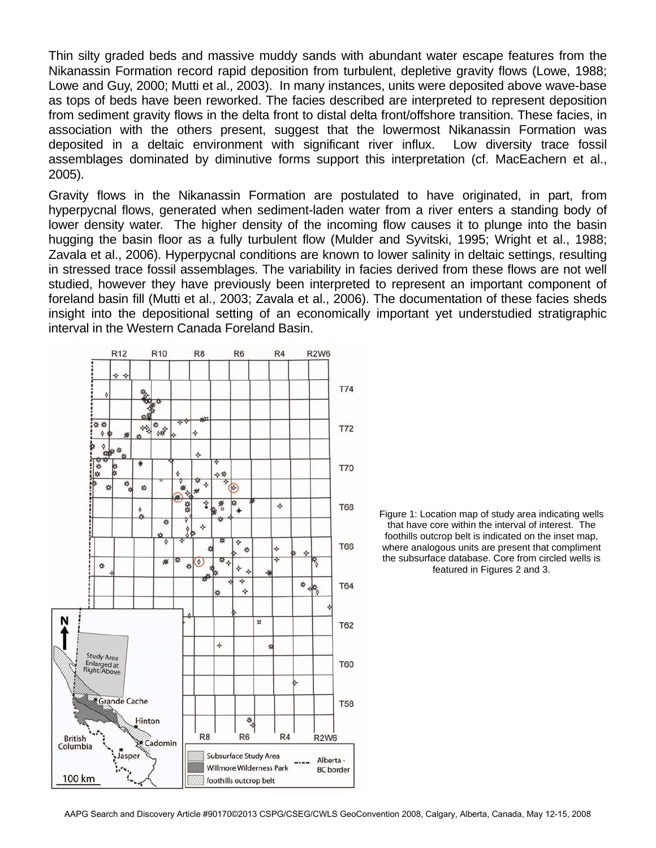Thin silty graded beds and massive muddy sands with abundant water escape features from the Nikanassin Formation record rapid deposition from turbulent, depletive gravity flows (Lowe, 1988; Lowe and Guy, 2000; Mutti et al., 2003). In many instances, units were deposited above wave-base as tops of beds have been reworked. The facies described are interpreted to represent deposition from sediment gravity flows in the delta front to distal delta front/offshore transition. These facies, in association with the others present, suggest that the lowermost Nikanassin Formation was deposited in a deltaic environment with significant river influx. Low diversity trace fossil assemblages dominated by diminutive forms support this interpretation (cf. MacEachern et al., 2005).

Gravity flows in the Nikanassin Formation are postulated to have originated, in part, from hyperpycnal flows, generated when sediment-laden water from a river enters a standing body of lower density water. The higher density of the incoming flow causes it to plunge into the basin hugging the basin floor as a fully turbulent flow (Mulder and Syvitski, 1995; Wright et al., 1988; Zavala et al., 2006). Hyperpycnal conditions are known to lower salinity in deltaic settings, resulting in stressed trace fossil assemblages. The variability in facies derived from these flows are not well studied, however they have previously been interpreted to represent an important component of foreland basin fill (Mutti et al., 2003; Zavala et al., 2006). The documentation of these facies sheds insight into the depositional setting of an economically important yet understudied stratigraphic interval in the Western Canada Foreland Basin.



Figure 1: Location map of study area indicating wells that have core within the interval of interest. The foothills outcrop belt is indicated on the inset map, where analogous units are present that compliment the subsurface database. Core from circled wells is featured in Figures 2 and 3.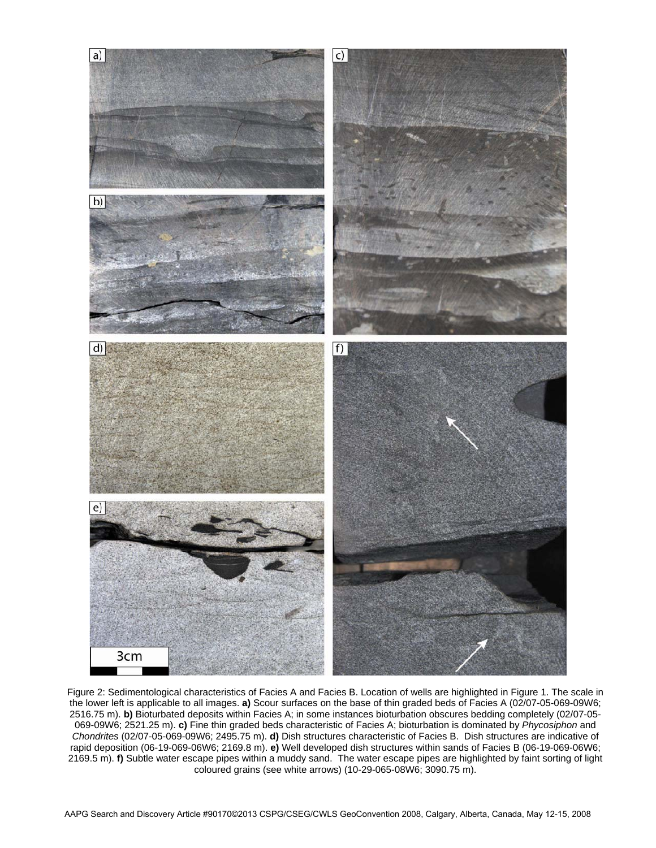

Figure 2: Sedimentological characteristics of Facies A and Facies B. Location of wells are highlighted in Figure 1. The scale in the lower left is applicable to all images. **a)** Scour surfaces on the base of thin graded beds of Facies A (02/07-05-069-09W6; 2516.75 m). **b)** Bioturbated deposits within Facies A; in some instances bioturbation obscures bedding completely (02/07-05- 069-09W6; 2521.25 m). **c)** Fine thin graded beds characteristic of Facies A; bioturbation is dominated by *Phycosiphon* and *Chondrites* (02/07-05-069-09W6; 2495.75 m). **d)** Dish structures characteristic of Facies B. Dish structures are indicative of rapid deposition (06-19-069-06W6; 2169.8 m). **e)** Well developed dish structures within sands of Facies B (06-19-069-06W6; 2169.5 m). **f)** Subtle water escape pipes within a muddy sand. The water escape pipes are highlighted by faint sorting of light coloured grains (see white arrows) (10-29-065-08W6; 3090.75 m).